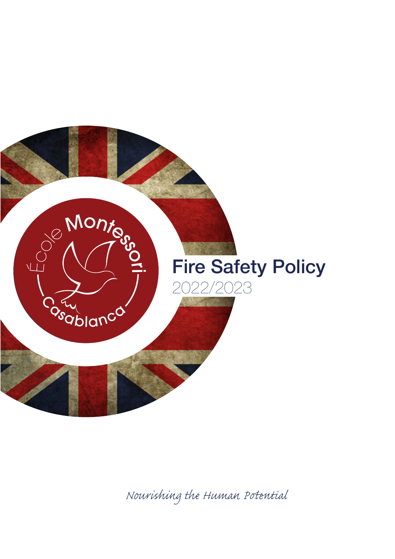

*Nourishing the Human Pential*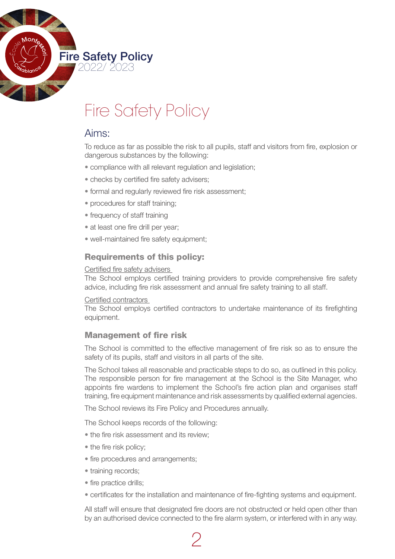

# Fire Safety Policy

## Aims:

To reduce as far as possible the risk to all pupils, staff and visitors from fire, explosion or dangerous substances by the following:

- compliance with all relevant regulation and legislation;
- checks by certified fire safety advisers;
- formal and regularly reviewed fire risk assessment;
- procedures for staff training;
- frequency of staff training
- at least one fire drill per vear:
- well-maintained fire safety equipment;

### Requirements of this policy:

#### Certified fire safety advisers

The School employs certified training providers to provide comprehensive fire safety advice, including fire risk assessment and annual fire safety training to all staff.

#### Certified contractors

The School employs certified contractors to undertake maintenance of its firefighting equipment.

## Management of fire risk

The School is committed to the effective management of fire risk so as to ensure the safety of its pupils, staff and visitors in all parts of the site.

The School takes all reasonable and practicable steps to do so, as outlined in this policy. The responsible person for fire management at the School is the Site Manager, who appoints fire wardens to implement the School's fire action plan and organises staff training, fire equipment maintenance and risk assessments by qualified external agencies.

The School reviews its Fire Policy and Procedures annually.

The School keeps records of the following:

- the fire risk assessment and its review;
- the fire risk policy;
- fire procedures and arrangements;
- training records;
- fire practice drills;
- certificates for the installation and maintenance of fire-fighting systems and equipment.

All staff will ensure that designated fire doors are not obstructed or held open other than by an authorised device connected to the fire alarm system, or interfered with in any way.